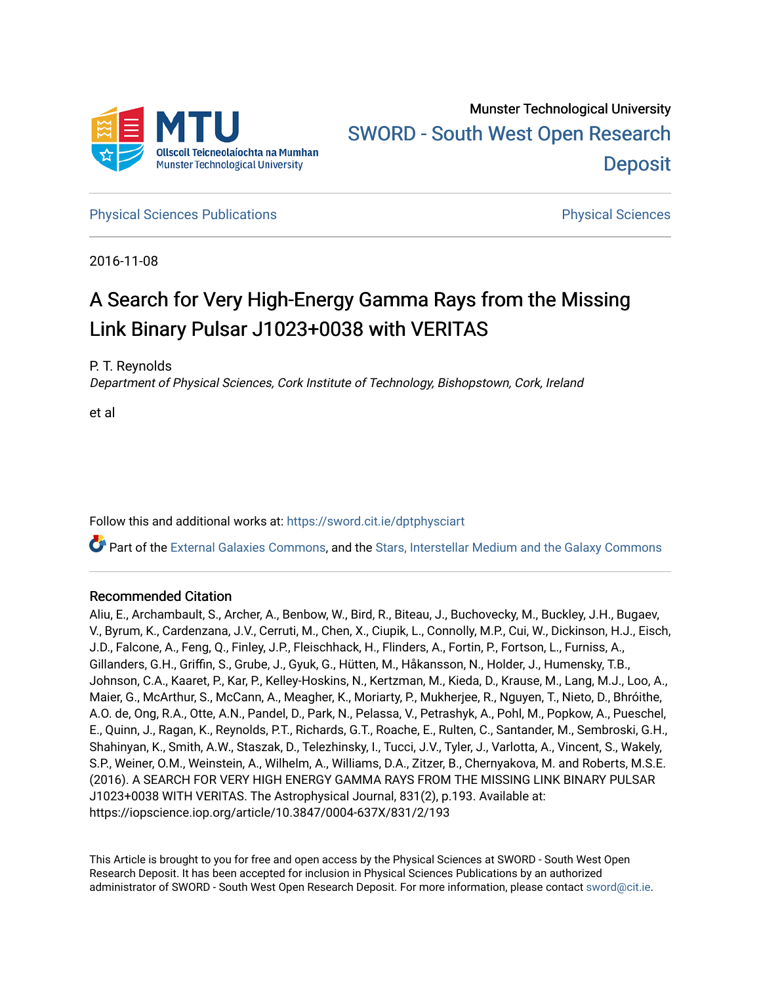

**[Physical Sciences Publications](https://sword.cit.ie/dptphysciart) Provide Access Publications Physical Sciences** Physical Sciences

2016-11-08

# A Search for Very High-Energy Gamma Rays from the Missing Link Binary Pulsar J1023+0038 with VERITAS

P. T. Reynolds

Department of Physical Sciences, Cork Institute of Technology, Bishopstown, Cork, Ireland

et al

Follow this and additional works at: [https://sword.cit.ie/dptphysciart](https://sword.cit.ie/dptphysciart?utm_source=sword.cit.ie%2Fdptphysciart%2F94&utm_medium=PDF&utm_campaign=PDFCoverPages)

Part of the [External Galaxies Commons](http://network.bepress.com/hgg/discipline/128?utm_source=sword.cit.ie%2Fdptphysciart%2F94&utm_medium=PDF&utm_campaign=PDFCoverPages), and the [Stars, Interstellar Medium and the Galaxy Commons](http://network.bepress.com/hgg/discipline/127?utm_source=sword.cit.ie%2Fdptphysciart%2F94&utm_medium=PDF&utm_campaign=PDFCoverPages) 

# Recommended Citation

Aliu, E., Archambault, S., Archer, A., Benbow, W., Bird, R., Biteau, J., Buchovecky, M., Buckley, J.H., Bugaev, V., Byrum, K., Cardenzana, J.V., Cerruti, M., Chen, X., Ciupik, L., Connolly, M.P., Cui, W., Dickinson, H.J., Eisch, J.D., Falcone, A., Feng, Q., Finley, J.P., Fleischhack, H., Flinders, A., Fortin, P., Fortson, L., Furniss, A., Gillanders, G.H., Griffin, S., Grube, J., Gyuk, G., Hütten, M., Håkansson, N., Holder, J., Humensky, T.B., Johnson, C.A., Kaaret, P., Kar, P., Kelley-Hoskins, N., Kertzman, M., Kieda, D., Krause, M., Lang, M.J., Loo, A., Maier, G., McArthur, S., McCann, A., Meagher, K., Moriarty, P., Mukherjee, R., Nguyen, T., Nieto, D., Bhróithe, A.O. de, Ong, R.A., Otte, A.N., Pandel, D., Park, N., Pelassa, V., Petrashyk, A., Pohl, M., Popkow, A., Pueschel, E., Quinn, J., Ragan, K., Reynolds, P.T., Richards, G.T., Roache, E., Rulten, C., Santander, M., Sembroski, G.H., Shahinyan, K., Smith, A.W., Staszak, D., Telezhinsky, I., Tucci, J.V., Tyler, J., Varlotta, A., Vincent, S., Wakely, S.P., Weiner, O.M., Weinstein, A., Wilhelm, A., Williams, D.A., Zitzer, B., Chernyakova, M. and Roberts, M.S.E. (2016). A SEARCH FOR VERY HIGH ENERGY GAMMA RAYS FROM THE MISSING LINK BINARY PULSAR J1023+0038 WITH VERITAS. The Astrophysical Journal, 831(2), p.193. Available at: https://iopscience.iop.org/article/10.3847/0004-637X/831/2/193

This Article is brought to you for free and open access by the Physical Sciences at SWORD - South West Open Research Deposit. It has been accepted for inclusion in Physical Sciences Publications by an authorized administrator of SWORD - South West Open Research Deposit. For more information, please contact [sword@cit.ie.](mailto:sword@cit.ie)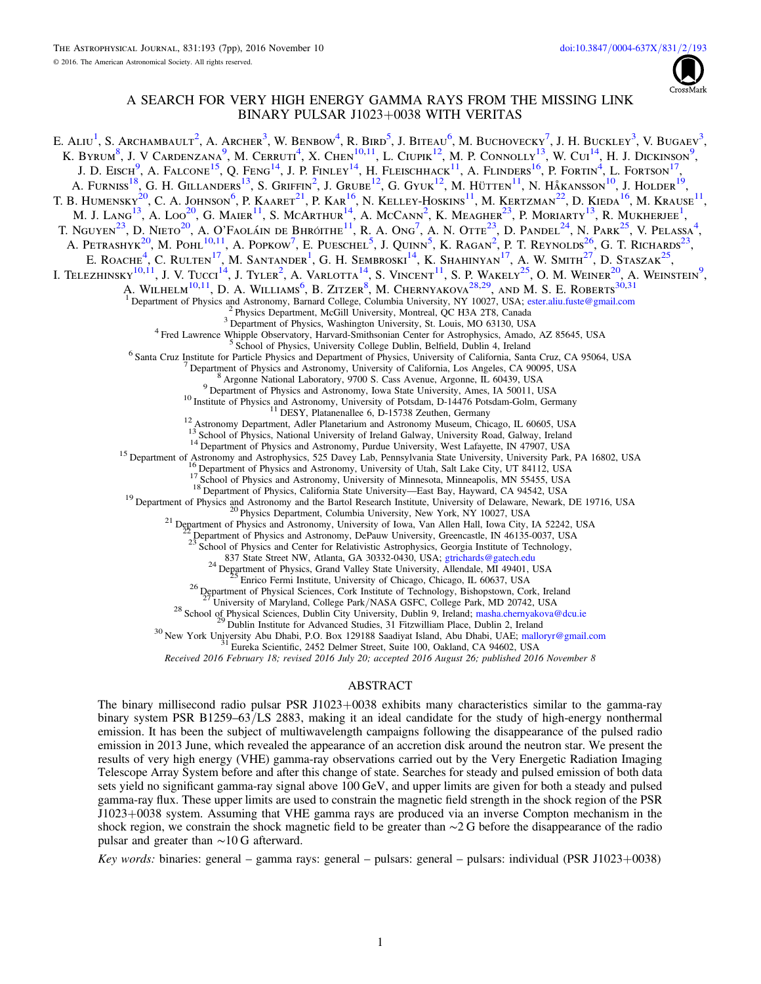

# A SEARCH FOR VERY HIGH ENERGY GAMMA RAYS FROM THE MISSING LINK BINARY PULSAR J1023+0038 WITH VERITAS

<span id="page-1-11"></span><span id="page-1-10"></span><span id="page-1-9"></span><span id="page-1-8"></span><span id="page-1-7"></span><span id="page-1-6"></span><span id="page-1-5"></span><span id="page-1-4"></span><span id="page-1-3"></span><span id="page-1-2"></span><span id="page-1-1"></span><span id="page-1-0"></span>E. Aliu<sup>[1](#page-1-0)</sup>, S. Archambault<sup>[2](#page-1-1)</sup>, A. Archer<sup>[3](#page-1-2)</sup>, W. Benbow<sup>[4](#page-1-3)</sup>, R. Bird<sup>[5](#page-1-4)</sup>, J. Biteau<sup>[6](#page-1-5)</sup>, M. Buchovecky<sup>[7](#page-1-6)</sup>, J. H. Buckley<sup>3</sup>, V. Bugaev<sup>3</sup>, K. BYRUM<sup>[8](#page-1-7)</sup>, J. V CARDENZANA<sup>[9](#page-1-8)</sup>, M. CERRUTI<sup>[4](#page-1-3)</sup>, X. CHEN<sup>[10,](#page-1-9)[11](#page-1-10)</sup>, L. CIUPIK<sup>[12](#page-1-11)</sup>, M. P. CONNOLLY<sup>[13](#page-1-12)</sup>, W. CUI<sup>[14](#page-1-13)</sup>, H. J. DICKINSON<sup>9</sup>, J. D. Eisch<sup>[9](#page-1-8)</sup>, A. Falcone<sup>[15](#page-1-14)</sup>, O. Feng<sup>[14](#page-1-13)</sup>, J. P. Finley<sup>14</sup>, H. Fleischhack<sup>[11](#page-1-10)</sup>, A. Flinders<sup>[16](#page-1-15)</sup>, P. Fortin<sup>[4](#page-1-3)</sup>, L. Fortson<sup>[17](#page-1-16)</sup>, A. Furniss<sup>[18](#page-1-17)</sup>, G. H. Gillanders<sup>[13](#page-1-12)</sup>, S. Griffin<sup>[2](#page-1-1)</sup>, J. Grube<sup>[12](#page-1-11)</sup>, G. Gyuk<sup>12</sup>, M. Hütten<sup>[11](#page-1-10)</sup>, N. Håkansson<sup>[10](#page-1-9)</sup>, J. Holder<sup>[19](#page-1-18)</sup>, T. B. Humensky<sup>[20](#page-1-19)</sup>, C. A. Johnson<sup>[6](#page-1-5)</sup>, P. Kaaret<sup>[21](#page-1-20)</sup>, P. Kar<sup>[16](#page-1-15)</sup>, N. Kelley-Hoskins<sup>[11](#page-1-10)</sup>, M. Kertzman<sup>[22](#page-1-21)</sup>, D. Kieda<sup>16</sup>, M. Krause<sup>11</sup>, M. J. Lang<sup>[13](#page-1-12)</sup>, A. Loo<sup>[20](#page-1-19)</sup>, G. Maier<sup>[11](#page-1-10)</sup>, S. McArthur<sup>[14](#page-1-13)</sup>, A. McCann<sup>[2](#page-1-1)</sup>, K. Meagher<sup>[23](#page-1-22)</sup>, P. Moriarty<sup>[1](#page-1-0)3</sup>, R. Mukherjee<sup>1</sup>, T. Nguyen<sup>[23](#page-1-22)</sup>, D. Nieto<sup>[20](#page-1-19)</sup>, A. O'Faoláin de Bhróithe<sup>[11](#page-1-10)</sup>, R. A. Ong<sup>[7](#page-1-6)</sup>, A. N. Otte<sup>23</sup>, D. Pandel<sup>[24](#page-1-23)</sup>, N. Park<sup>[25](#page-1-24)</sup>, V. Pelassa<sup>[4](#page-1-3)</sup>, A. Petrashyk<sup>[20](#page-1-19)</sup>, M. Pohl<sup>[10,](#page-1-9)[11](#page-1-10)</sup>, A. Popkow<sup>[7](#page-1-6)</sup>, E. Pueschel<sup>[5](#page-1-4)</sup>, J. Ouinn<sup>5</sup>, K. Ragan<sup>[2](#page-1-1)</sup>, P. T. Reynolds<sup>[26](#page-1-25)</sup>, G. T. Richards<sup>[23](#page-1-22)</sup>, E. ROACHE<sup>[4](#page-1-3)</sup>, C. RULTEN<sup>[17](#page-1-16)</sup>, M. SANTANDER<sup>[1](#page-1-0)</sup>, G. H. SEMBROSKI<sup>[14](#page-1-13)</sup>, K. SHAHINYAN<sup>17</sup>, A. W. SMITH<sup>[27](#page-1-26)</sup>, D. STASZAK<sup>[25](#page-1-24)</sup>, I. Telezhinsky $^{10,11}$  $^{10,11}$  $^{10,11}$  $^{10,11}$ , J. V. Tucci<sup>[14](#page-1-13)</sup>, J. Tyler<sup>[2](#page-1-1)</sup>, A. Varlotta<sup>14</sup>, S. Vincent<sup>11</sup>, S. P. Wakely<sup>[25](#page-1-24)</sup>, O. M. Weiner<sup>[20](#page-1-19)</sup>, A. Weinstein<sup>[9](#page-1-8)</sup>, A. WILHELM<sup>[10,](#page-1-9)[11](#page-1-10)</sup>, D. A. WILLIAMS<sup>[6](#page-1-5)</sup>, B. ZITZER<sup>[8](#page-1-7)</sup>, M. CHERNYAKOVA<sup>[28,](#page-1-27)[29](#page-1-28)</sup>, AND M. S. E. ROBERTS<sup>[30,](#page-1-29)[31](#page-1-30)</sup> The Partment of Physics and Astronomy, Barnard College, Columbia University, NY 10027, USA; [ester.aliu.fuste@gmail.com](mailto:ester.aliu.fuste@gmail.com)<br>
<sup>3</sup> Physics Department of Physics, Washington University, St. Louis, MO 63130, USA<br>
<sup>4</sup> Fred Lawrence <sup>14</sup> Department of Physics and Astronomy, Purdue University, West Lafayette, IN 47907, USA<br>
<sup>15</sup> Department of Astronomy and Astrophysics, 525 Davey Lab, Pennsylvania State University, University Park, PA 16802, USA<br>
<sup>16</sup> <sup>23</sup> School of Physics and Center for Relativistic Astrophysics, Georgia Institute of Technology,  $^{24}$  B37 State Street NW, Atlanta, GA 30332-0430, USA; [gtrichards@gatech.edu](mailto:gtrichards@gatech.edu)  $^{24}$  Department of Physics, Grand Valley State University, Allendale, MI 49401, USA  $^{25}$  Enrico Fermi Institute, University of Chicago, Ch <sup>27</sup> University of Maryland, College Park/NASA GSFC, College Park, MD 20742, USA<br><sup>28</sup> School of Physical Sciences, Dublin City University, Dublin 9, Ireland; [masha.chernyakova@dcu.ie](mailto:masha.chernyakova@dcu.ie)<br><sup>29</sup> Dublin Institute for Advanced Stu Received 2016 February 18; revised 2016 July 20; accepted 2016 August 26; published 2016 November 8

## ABSTRACT

<span id="page-1-30"></span><span id="page-1-29"></span><span id="page-1-28"></span><span id="page-1-27"></span><span id="page-1-26"></span><span id="page-1-25"></span><span id="page-1-24"></span><span id="page-1-23"></span><span id="page-1-22"></span><span id="page-1-21"></span><span id="page-1-20"></span><span id="page-1-19"></span><span id="page-1-18"></span><span id="page-1-17"></span><span id="page-1-16"></span><span id="page-1-15"></span><span id="page-1-14"></span><span id="page-1-13"></span><span id="page-1-12"></span>The binary millisecond radio pulsar PSR J1023+0038 exhibits many characteristics similar to the gamma-ray binary system PSR B1259–63/LS 2883, making it an ideal candidate for the study of high-energy nonthermal emission. It has been the subject of multiwavelength campaigns following the disappearance of the pulsed radio emission in 2013 June, which revealed the appearance of an accretion disk around the neutron star. We present the results of very high energy (VHE) gamma-ray observations carried out by the Very Energetic Radiation Imaging Telescope Array System before and after this change of state. Searches for steady and pulsed emission of both data sets yield no significant gamma-ray signal above 100 GeV, and upper limits are given for both a steady and pulsed gamma-ray flux. These upper limits are used to constrain the magnetic field strength in the shock region of the PSR J1023+0038 system. Assuming that VHE gamma rays are produced via an inverse Compton mechanism in the shock region, we constrain the shock magnetic field to be greater than ∼2 G before the disappearance of the radio pulsar and greater than ∼10 G afterward.

Key words: binaries: general – gamma rays: general – pulsars: general – pulsars: individual (PSR J1023+0038)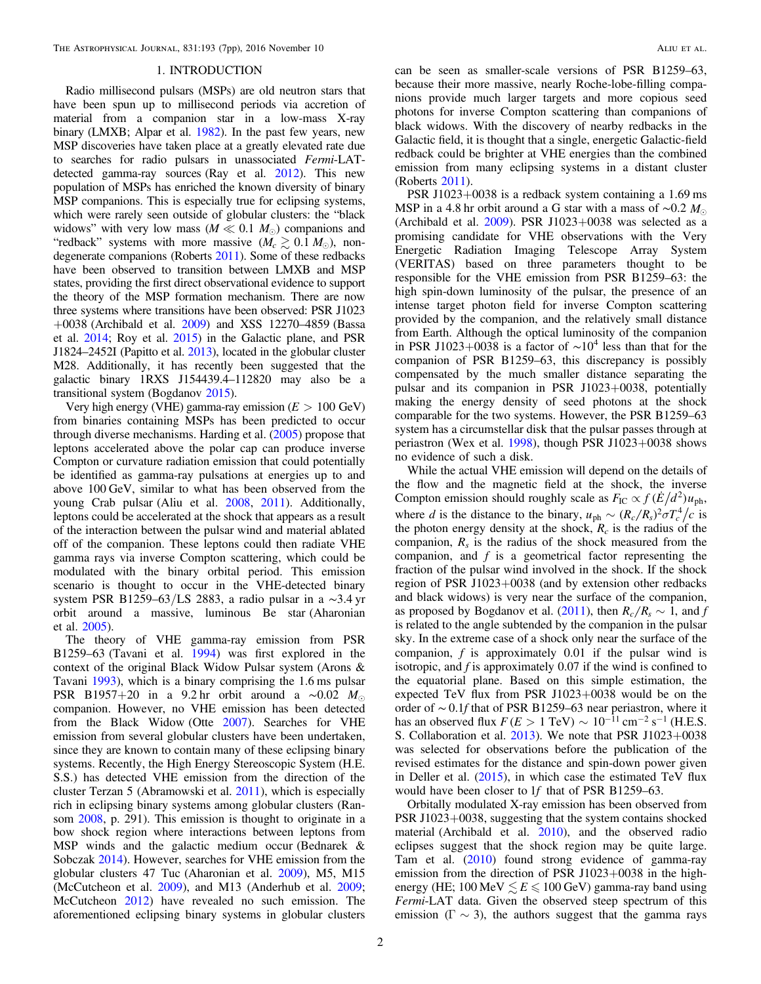## 1. INTRODUCTION

Radio millisecond pulsars (MSPs) are old neutron stars that have been spun up to millisecond periods via accretion of material from a companion star in a low-mass X-ray binary (LMXB; Alpar et al. [1982](#page-6-0)). In the past few years, new MSP discoveries have taken place at a greatly elevated rate due to searches for radio pulsars in unassociated Fermi-LATdetected gamma-ray sources (Ray et al. [2012](#page-7-0)). This new population of MSPs has enriched the known diversity of binary MSP companions. This is especially true for eclipsing systems, which were rarely seen outside of globular clusters: the "black widows" with very low mass ( $M \ll 0.1$   $M_{\odot}$ ) companions and "redback" systems with more massive  $(M_c \gtrsim 0.1 M_{\odot})$ , nondegenerate companions (Roberts [2011](#page-7-1)). Some of these redbacks have been observed to transition between LMXB and MSP states, providing the first direct observational evidence to support the theory of the MSP formation mechanism. There are now three systems where transitions have been observed: PSR J1023  $+0038$  (Archibald et al. [2009](#page-6-1)) and XSS 12270–4859 (Bassa et al. [2014](#page-6-2); Roy et al. [2015](#page-7-2)) in the Galactic plane, and PSR J1824–2452I (Papitto et al. [2013](#page-7-3)), located in the globular cluster M28. Additionally, it has recently been suggested that the galactic binary 1RXS J154439.4–112820 may also be a transitional system (Bogdanov [2015](#page-6-3)).

Very high energy (VHE) gamma-ray emission (*E* > 100 GeV) from binaries containing MSPs has been predicted to occur through diverse mechanisms. Harding et al. ([2005](#page-7-4)) propose that leptons accelerated above the polar cap can produce inverse Compton or curvature radiation emission that could potentially be identified as gamma-ray pulsations at energies up to and above 100 GeV, similar to what has been observed from the young Crab pulsar (Aliu et al. [2008](#page-6-4), [2011](#page-6-5)). Additionally, leptons could be accelerated at the shock that appears as a result of the interaction between the pulsar wind and material ablated off of the companion. These leptons could then radiate VHE gamma rays via inverse Compton scattering, which could be modulated with the binary orbital period. This emission scenario is thought to occur in the VHE-detected binary system PSR B1259–63/LS 2883, a radio pulsar in a ∼3.4 yr orbit around a massive, luminous Be star (Aharonian et al. [2005](#page-6-6)).

The theory of VHE gamma-ray emission from PSR B1259–63 (Tavani et al. [1994](#page-7-5)) was first explored in the context of the original Black Widow Pulsar system (Arons & Tavani [1993](#page-6-7)), which is a binary comprising the 1.6 ms pulsar PSR B1957+20 in a 9.2 hr orbit around a ~0.02  $M_{\odot}$ companion. However, no VHE emission has been detected from the Black Widow (Otte [2007](#page-7-6)). Searches for VHE emission from several globular clusters have been undertaken, since they are known to contain many of these eclipsing binary systems. Recently, the High Energy Stereoscopic System (H.E. S.S.) has detected VHE emission from the direction of the cluster Terzan 5 (Abramowski et al. [2011](#page-6-8)), which is especially rich in eclipsing binary systems among globular clusters (Ransom [2008](#page-7-7), p. 291). This emission is thought to originate in a bow shock region where interactions between leptons from MSP winds and the galactic medium occur (Bednarek & Sobczak [2014](#page-6-9)). However, searches for VHE emission from the globular clusters 47 Tuc (Aharonian et al. [2009](#page-6-10)), M5, M15 (McCutcheon et al. [2009](#page-7-8)), and M13 (Anderhub et al. [2009](#page-6-11); McCutcheon [2012](#page-7-9)) have revealed no such emission. The aforementioned eclipsing binary systems in globular clusters

can be seen as smaller-scale versions of PSR B1259–63, because their more massive, nearly Roche-lobe-filling companions provide much larger targets and more copious seed photons for inverse Compton scattering than companions of black widows. With the discovery of nearby redbacks in the Galactic field, it is thought that a single, energetic Galactic-field redback could be brighter at VHE energies than the combined emission from many eclipsing systems in a distant cluster (Roberts [2011](#page-7-1)).

PSR J1023+0038 is a redback system containing a 1.69 ms MSP in a 4.8 hr orbit around a G star with a mass of ∼0.2 *M* (Archibald et al.  $2009$ ). PSR J1023+0038 was selected as a promising candidate for VHE observations with the Very Energetic Radiation Imaging Telescope Array System (VERITAS) based on three parameters thought to be responsible for the VHE emission from PSR B1259–63: the high spin-down luminosity of the pulsar, the presence of an intense target photon field for inverse Compton scattering provided by the companion, and the relatively small distance from Earth. Although the optical luminosity of the companion in PSR J1023+0038 is a factor of  $\sim 10^4$  less than that for the companion of PSR B1259–63, this discrepancy is possibly compensated by the much smaller distance separating the pulsar and its companion in PSR J1023+0038, potentially making the energy density of seed photons at the shock comparable for the two systems. However, the PSR B1259–63 system has a circumstellar disk that the pulsar passes through at periastron (Wex et al. [1998](#page-7-10)), though PSR J1023+0038 shows no evidence of such a disk.

While the actual VHE emission will depend on the details of the flow and the magnetic field at the shock, the inverse Compton emission should roughly scale as  $F_{\text{IC}} \propto f (E/d^2) u_{\text{ph}}$ , where d is the distance to the binary,  $u_{ph} \sim (R_c/R_s)^2 \sigma T_c^4/c$  is the photon energy density at the shock,  $R_c$  is the radius of the companion,  $R_s$  is the radius of the shock measured from the companion, and  $f$  is a geometrical factor representing the fraction of the pulsar wind involved in the shock. If the shock region of PSR J1023+0038 (and by extension other redbacks and black widows) is very near the surface of the companion, as proposed by Bogdanov et al. ([2011](#page-6-12)), then  $R_c/R_s \sim 1$ , and f is related to the angle subtended by the companion in the pulsar sky. In the extreme case of a shock only near the surface of the companion, f is approximately 0.01 if the pulsar wind is isotropic, and  $f$  is approximately 0.07 if the wind is confined to the equatorial plane. Based on this simple estimation, the expected TeV flux from PSR J1023+0038 would be on the order of ∼ 0.1f that of PSR B1259–63 near periastron, where it has an observed flux  $F(E > 1 \text{ TeV}) \sim 10^{-11} \text{ cm}^{-2} \text{ s}^{-1}$  (H.E.S. S. Collaboration et al. [2013](#page-7-11)). We note that PSR J1023+0038 was selected for observations before the publication of the revised estimates for the distance and spin-down power given in Deller et al. ([2015](#page-6-13)), in which case the estimated TeV flux would have been closer to 1*f* that of PSR B1259–63.

Orbitally modulated X-ray emission has been observed from PSR J1023+0038, suggesting that the system contains shocked material (Archibald et al. [2010](#page-6-14)), and the observed radio eclipses suggest that the shock region may be quite large. Tam et al. ([2010](#page-7-12)) found strong evidence of gamma-ray emission from the direction of PSR J1023+0038 in the highenergy (HE; 100 MeV  $\leq E \leq 100$  GeV) gamma-ray band using Fermi-LAT data. Given the observed steep spectrum of this emission ( $\Gamma \sim 3$ ), the authors suggest that the gamma rays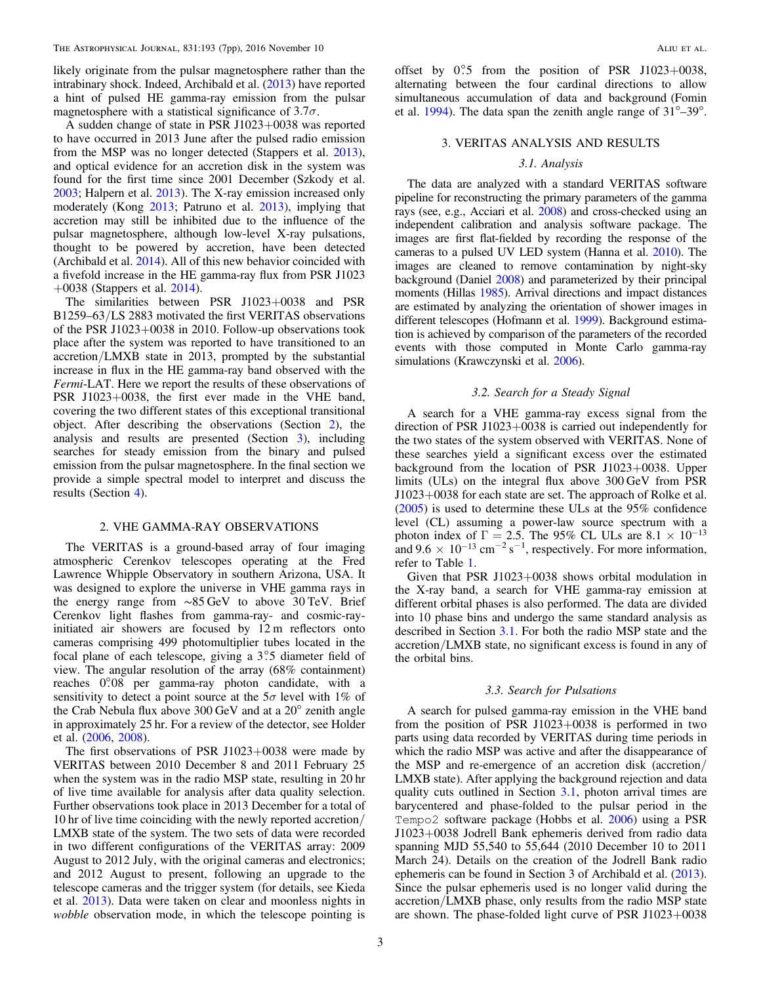likely originate from the pulsar magnetosphere rather than the intrabinary shock. Indeed, Archibald et al. ([2013](#page-6-15)) have reported a hint of pulsed HE gamma-ray emission from the pulsar magnetosphere with a statistical significance of  $3.7\sigma$ .

A sudden change of state in PSR J1023+0038 was reported to have occurred in 2013 June after the pulsed radio emission from the MSP was no longer detected (Stappers et al. [2013](#page-7-13)), and optical evidence for an accretion disk in the system was found for the first time since 2001 December (Szkody et al. [2003;](#page-7-14) Halpern et al. [2013](#page-6-16)). The X-ray emission increased only moderately (Kong [2013](#page-7-15); Patruno et al. [2013](#page-7-16)), implying that accretion may still be inhibited due to the influence of the pulsar magnetosphere, although low-level X-ray pulsations, thought to be powered by accretion, have been detected (Archibald et al. [2014](#page-6-17)). All of this new behavior coincided with a fivefold increase in the HE gamma-ray flux from PSR J1023  $+0038$  (Stappers et al. [2014](#page-7-17)).

The similarities between PSR J1023+0038 and PSR B1259–63/LS 2883 motivated the first VERITAS observations of the PSR J1023+0038 in 2010. Follow-up observations took place after the system was reported to have transitioned to an accretion/LMXB state in 2013, prompted by the substantial increase in flux in the HE gamma-ray band observed with the Fermi-LAT. Here we report the results of these observations of PSR J1023+0038, the first ever made in the VHE band, covering the two different states of this exceptional transitional object. After describing the observations (Section [2](#page-3-0)), the analysis and results are presented (Section [3](#page-3-1)), including searches for steady emission from the binary and pulsed emission from the pulsar magnetosphere. In the final section we provide a simple spectral model to interpret and discuss the results (Section [4](#page-4-0)).

### 2. VHE GAMMA-RAY OBSERVATIONS

<span id="page-3-0"></span>The VERITAS is a ground-based array of four imaging atmospheric Cerenkov telescopes operating at the Fred Lawrence Whipple Observatory in southern Arizona, USA. It was designed to explore the universe in VHE gamma rays in the energy range from ∼85 GeV to above 30 TeV. Brief Cerenkov light flashes from gamma-ray- and cosmic-rayinitiated air showers are focused by 12 m reflectors onto cameras comprising 499 photomultiplier tubes located in the focal plane of each telescope, giving a 3°.5 diameter field of view. The angular resolution of the array (68% containment) reaches 0°.08 per gamma-ray photon candidate, with a sensitivity to detect a point source at the  $5\sigma$  level with 1% of the Crab Nebula flux above 300 GeV and at a 20° zenith angle in approximately 25 hr. For a review of the detector, see Holder et al. ([2006](#page-7-18), [2008](#page-7-19)).

The first observations of PSR J1023+0038 were made by VERITAS between 2010 December 8 and 2011 February 25 when the system was in the radio MSP state, resulting in 20 hr of live time available for analysis after data quality selection. Further observations took place in 2013 December for a total of 10 hr of live time coinciding with the newly reported accretion/ LMXB state of the system. The two sets of data were recorded in two different configurations of the VERITAS array: 2009 August to 2012 July, with the original cameras and electronics; and 2012 August to present, following an upgrade to the telescope cameras and the trigger system (for details, see Kieda et al. [2013](#page-7-20)). Data were taken on clear and moonless nights in wobble observation mode, in which the telescope pointing is

offset by  $0^\circ$ 5 from the position of PSR J1023+0038, alternating between the four cardinal directions to allow simultaneous accumulation of data and background (Fomin et al. [1994](#page-6-18)). The data span the zenith angle range of  $31^{\circ}$ –39°.

## <span id="page-3-1"></span>3. VERITAS ANALYSIS AND RESULTS

#### 3.1. Analysis

<span id="page-3-2"></span>The data are analyzed with a standard VERITAS software pipeline for reconstructing the primary parameters of the gamma rays (see, e.g., Acciari et al. [2008](#page-6-19)) and cross-checked using an independent calibration and analysis software package. The images are first flat-fielded by recording the response of the cameras to a pulsed UV LED system (Hanna et al. [2010](#page-7-21)). The images are cleaned to remove contamination by night-sky background (Daniel [2008](#page-6-20)) and parameterized by their principal moments (Hillas [1985](#page-7-22)). Arrival directions and impact distances are estimated by analyzing the orientation of shower images in different telescopes (Hofmann et al. [1999](#page-7-23)). Background estimation is achieved by comparison of the parameters of the recorded events with those computed in Monte Carlo gamma-ray simulations (Krawczynski et al. [2006](#page-7-24)).

#### 3.2. Search for a Steady Signal

A search for a VHE gamma-ray excess signal from the direction of PSR J1023+0038 is carried out independently for the two states of the system observed with VERITAS. None of these searches yield a significant excess over the estimated background from the location of PSR J1023+0038. Upper limits (ULs) on the integral flux above 300 GeV from PSR J1023+0038 for each state are set. The approach of Rolke et al. ([2005](#page-7-25)) is used to determine these ULs at the 95% confidence level (CL) assuming a power-law source spectrum with a photon index of  $\Gamma = 2.5$ . The 95% CL ULs are  $8.1 \times 10^{-13}$ and  $9.6 \times 10^{-13}$  cm<sup>-2</sup> s<sup>-1</sup>, respectively. For more information, refer to Table [1](#page-4-1).

Given that PSR J1023+0038 shows orbital modulation in the X-ray band, a search for VHE gamma-ray emission at different orbital phases is also performed. The data are divided into 10 phase bins and undergo the same standard analysis as described in Section [3.1](#page-3-2). For both the radio MSP state and the accretion/LMXB state, no significant excess is found in any of the orbital bins.

#### 3.3. Search for Pulsations

<span id="page-3-3"></span>A search for pulsed gamma-ray emission in the VHE band from the position of PSR J1023+0038 is performed in two parts using data recorded by VERITAS during time periods in which the radio MSP was active and after the disappearance of the MSP and re-emergence of an accretion disk (accretion/ LMXB state). After applying the background rejection and data quality cuts outlined in Section [3.1,](#page-3-2) photon arrival times are barycentered and phase-folded to the pulsar period in the Tempo2 software package (Hobbs et al. [2006](#page-7-26)) using a PSR J1023+0038 Jodrell Bank ephemeris derived from radio data spanning MJD 55,540 to 55,644 (2010 December 10 to 2011 March 24). Details on the creation of the Jodrell Bank radio ephemeris can be found in Section 3 of Archibald et al. ([2013](#page-6-15)). Since the pulsar ephemeris used is no longer valid during the accretion/LMXB phase, only results from the radio MSP state are shown. The phase-folded light curve of PSR J1023+0038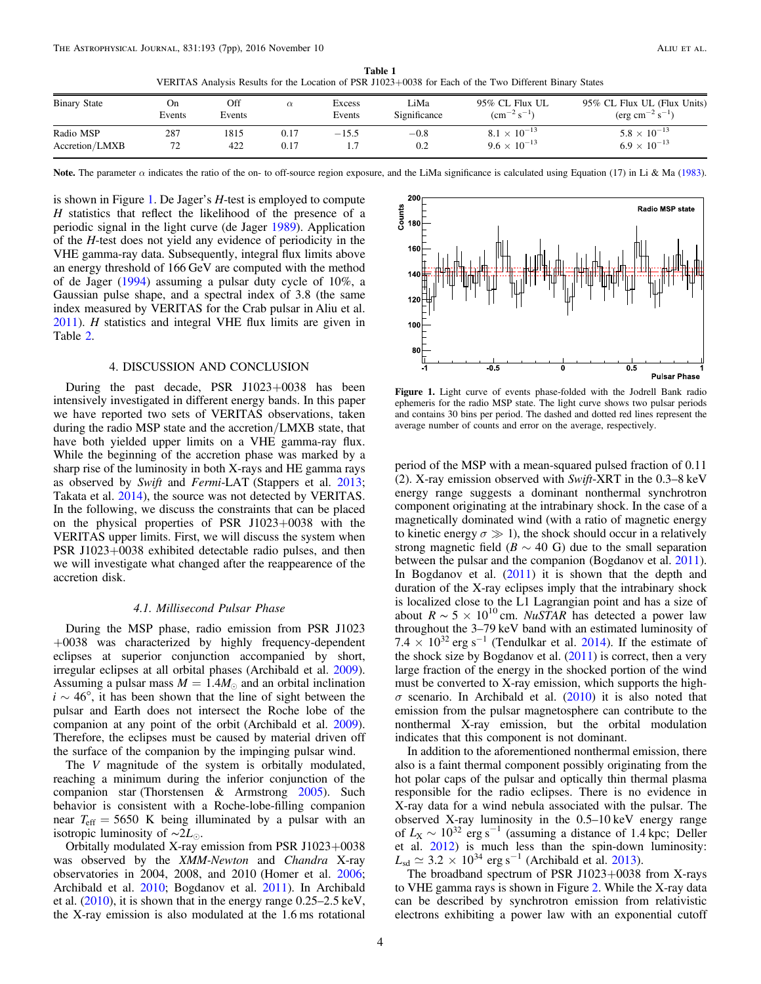VERITAS Analysis Results for the Location of PSR J1023+0038 for Each of the Two Different Binary States

<span id="page-4-1"></span>

| <b>Binary State</b>         | On<br>Events     | Off<br>Events |              | Excess<br>Events | LiMa<br>Significance | 95% CL Flux UL<br>$\rm \left( cm^{-2} \, s^{-1} \right)$ | 95% CL Flux UL (Flux Units)<br>$(\text{erg cm}^{-2} \text{ s}^{-1})$ |
|-----------------------------|------------------|---------------|--------------|------------------|----------------------|----------------------------------------------------------|----------------------------------------------------------------------|
| Radio MSP<br>Accretion/LMXB | 287<br>72<br>ے ا | 1815<br>422   | 0.17<br>0.17 | $-15.5$          | $-0.8$<br>0.2        | $8.1 \times 10^{-13}$<br>$9.6 \times 10^{-13}$           | $5.8 \times 10^{-13}$<br>$6.9 \times 10^{-13}$                       |

Note. The parameter  $\alpha$  indicates the ratio of the on- to off-source region exposure, and the LiMa significance is calculated using Equation (17) in Li & Ma ([1983](#page-7-31)).

is shown in Figure [1.](#page-4-2) De Jager's H-test is employed to compute H statistics that reflect the likelihood of the presence of a periodic signal in the light curve (de Jager [1989](#page-6-21)). Application of the H-test does not yield any evidence of periodicity in the VHE gamma-ray data. Subsequently, integral flux limits above an energy threshold of 166 GeV are computed with the method of de Jager ([1994](#page-6-22)) assuming a pulsar duty cycle of 10%, a Gaussian pulse shape, and a spectral index of 3.8 (the same index measured by VERITAS for the Crab pulsar in Aliu et al.  $2011$ ). *H* statistics and integral VHE flux limits are given in Table [2.](#page-5-0)

#### 4. DISCUSSION AND CONCLUSION

<span id="page-4-0"></span>During the past decade, PSR J1023+0038 has been intensively investigated in different energy bands. In this paper we have reported two sets of VERITAS observations, taken during the radio MSP state and the accretion/LMXB state, that have both yielded upper limits on a VHE gamma-ray flux. While the beginning of the accretion phase was marked by a sharp rise of the luminosity in both X-rays and HE gamma rays as observed by Swift and Fermi-LAT (Stappers et al. [2013](#page-7-13); Takata et al. [2014](#page-7-27)), the source was not detected by VERITAS. In the following, we discuss the constraints that can be placed on the physical properties of PSR J1023+0038 with the VERITAS upper limits. First, we will discuss the system when PSR J1023+0038 exhibited detectable radio pulses, and then we will investigate what changed after the reappearence of the accretion disk.

#### 4.1. Millisecond Pulsar Phase

During the MSP phase, radio emission from PSR J1023 +0038 was characterized by highly frequency-dependent eclipses at superior conjunction accompanied by short, irregular eclipses at all orbital phases (Archibald et al. [2009](#page-6-1)). Assuming a pulsar mass  $M = 1.4 M_{\odot}$  and an orbital inclination  $i \sim 46^{\circ}$ , it has been shown that the line of sight between the pulsar and Earth does not intersect the Roche lobe of the companion at any point of the orbit (Archibald et al. [2009](#page-6-1)). Therefore, the eclipses must be caused by material driven off the surface of the companion by the impinging pulsar wind.

The V magnitude of the system is orbitally modulated, reaching a minimum during the inferior conjunction of the companion star (Thorstensen & Armstrong [2005](#page-7-28)). Such behavior is consistent with a Roche-lobe-filling companion near  $T_{\text{eff}} = 5650$  K being illuminated by a pulsar with an isotropic luminosity of ∼2*L*.

Orbitally modulated X-ray emission from PSR J1023+0038 was observed by the XMM-Newton and Chandra X-ray observatories in 2004, 2008, and 2010 (Homer et al. [2006](#page-7-29); Archibald et al. [2010;](#page-6-14) Bogdanov et al. [2011](#page-6-12)). In Archibald et al. ([2010](#page-6-14)), it is shown that in the energy range 0.25–2.5 keV, the X-ray emission is also modulated at the 1.6 ms rotational

<span id="page-4-2"></span>

Figure 1. Light curve of events phase-folded with the Jodrell Bank radio ephemeris for the radio MSP state. The light curve shows two pulsar periods and contains 30 bins per period. The dashed and dotted red lines represent the average number of counts and error on the average, respectively.

period of the MSP with a mean-squared pulsed fraction of 0.11 (2). X-ray emission observed with Swift-XRT in the 0.3–8 keV energy range suggests a dominant nonthermal synchrotron component originating at the intrabinary shock. In the case of a magnetically dominated wind (with a ratio of magnetic energy to kinetic energy  $\sigma \gg 1$ , the shock should occur in a relatively strong magnetic field ( $B \sim 40$  G) due to the small separation between the pulsar and the companion (Bogdanov et al. [2011](#page-6-12)). In Bogdanov et al.  $(2011)$  $(2011)$  $(2011)$  it is shown that the depth and duration of the X-ray eclipses imply that the intrabinary shock is localized close to the L1 Lagrangian point and has a size of about  $R \sim 5 \times 10^{10}$  cm. NuSTAR has detected a power law throughout the 3–79 keV band with an estimated luminosity of 7.4  $\times$  10<sup>32</sup> erg s<sup>-1</sup> (Tendulkar et al. [2014](#page-7-30)). If the estimate of the shock size by Bogdanov et al. ([2011](#page-6-12)) is correct, then a very large fraction of the energy in the shocked portion of the wind must be converted to X-ray emission, which supports the high- $\sigma$  scenario. In Archibald et al. ([2010](#page-6-14)) it is also noted that emission from the pulsar magnetosphere can contribute to the nonthermal X-ray emission, but the orbital modulation indicates that this component is not dominant.

In addition to the aforementioned nonthermal emission, there also is a faint thermal component possibly originating from the hot polar caps of the pulsar and optically thin thermal plasma responsible for the radio eclipses. There is no evidence in X-ray data for a wind nebula associated with the pulsar. The observed X-ray luminosity in the 0.5–10 keV energy range of  $L_X \sim 10^{32}$  erg s<sup>-1</sup> (assuming a distance of 1.4 kpc; Deller et al. [2012](#page-6-23)) is much less than the spin-down luminosity:  $L_{sd} \simeq 3.2 \times 10^{34} \text{ erg s}^{-1}$  (Archibald et al. [2013](#page-6-15)).

The broadband spectrum of PSR J1023+0038 from X-rays to VHE gamma rays is shown in Figure [2](#page-5-1). While the X-ray data can be described by synchrotron emission from relativistic electrons exhibiting a power law with an exponential cutoff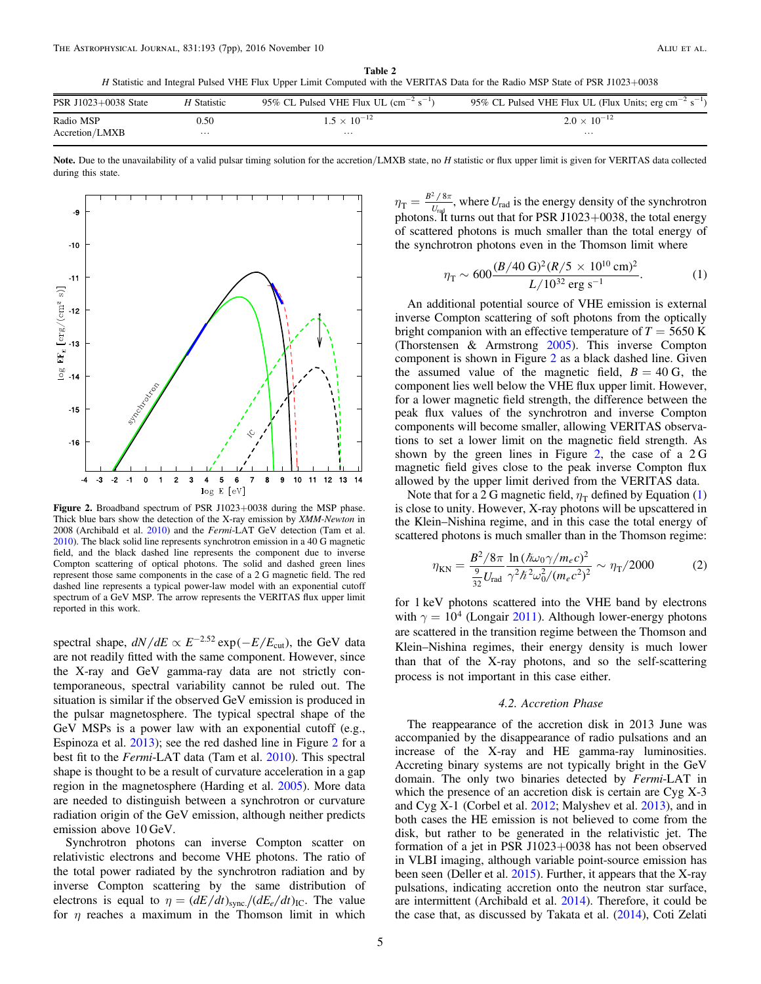H Statistic and Integral Pulsed VHE Flux Upper Limit Computed with the VERITAS Data for the Radio MSP State of PSR J1023+0038

<span id="page-5-0"></span>

| PSR J1023+0038 State | H Statistic | 95% CL Pulsed VHE Flux UL $\rm (cm^{-2} \ s^{-1})$ | 95% CL Pulsed VHE Flux UL (Flux Units; erg cm <sup>-2</sup> s <sup>-1</sup> |
|----------------------|-------------|----------------------------------------------------|-----------------------------------------------------------------------------|
| Radio MSP            | 0.50        | $1.5 \times 10^{-12}$                              | $2.0 \times 10^{-12}$                                                       |
| Accretion/LMXB       | $\cdots$    | $\cdots$                                           | $\cdots$                                                                    |

Note. Due to the unavailability of a valid pulsar timing solution for the accretion/LMXB state, no H statistic or flux upper limit is given for VERITAS data collected during this state.

<span id="page-5-1"></span>

Figure 2. Broadband spectrum of PSR J1023+0038 during the MSP phase. Thick blue bars show the detection of the X-ray emission by XMM-Newton in 2008 (Archibald et al. [2010](#page-6-14)) and the Fermi-LAT GeV detection (Tam et al. [2010](#page-7-12)). The black solid line represents synchrotron emission in a 40 G magnetic field, and the black dashed line represents the component due to inverse Compton scattering of optical photons. The solid and dashed green lines represent those same components in the case of a 2 G magnetic field. The red dashed line represents a typical power-law model with an exponential cutoff spectrum of a GeV MSP. The arrow represents the VERITAS flux upper limit reported in this work.

spectral shape,  $dN/dE \propto E^{-2.52} \exp(-E/E_{\text{cut}})$ , the GeV data are not readily fitted with the same component. However, since the X-ray and GeV gamma-ray data are not strictly contemporaneous, spectral variability cannot be ruled out. The situation is similar if the observed GeV emission is produced in the pulsar magnetosphere. The typical spectral shape of the GeV MSPs is a power law with an exponential cutoff (e.g., Espinoza et al. [2013](#page-6-24)); see the red dashed line in Figure [2](#page-5-1) for a best fit to the *Fermi*-LAT data (Tam et al. [2010](#page-7-12)). This spectral shape is thought to be a result of curvature acceleration in a gap region in the magnetosphere (Harding et al. [2005](#page-7-4)). More data are needed to distinguish between a synchrotron or curvature radiation origin of the GeV emission, although neither predicts emission above 10 GeV.

Synchrotron photons can inverse Compton scatter on relativistic electrons and become VHE photons. The ratio of the total power radiated by the synchrotron radiation and by inverse Compton scattering by the same distribution of electrons is equal to  $\eta = (dE/dt)_{\text{sync}}/(dE_e/dt)_{\text{IC}}$ . The value for  $\eta$  reaches a maximum in the Thomson limit in which

<span id="page-5-2"></span> $\eta_{\rm T} = \frac{B^2\,/\,8\pi}{U_{\rm rad}}$  $^{2}/8$  $\frac{76\pi}{\pi}$ , where  $U_{\text{rad}}$  is the energy density of the synchrotron photons. It turns out that for PSR J1023+0038, the total energy of scattered photons is much smaller than the total energy of the synchrotron photons even in the Thomson limit where

$$
\eta_{\rm T} \sim 600 \frac{(B/40 \text{ G})^2 (R/5 \times 10^{10} \text{ cm})^2}{L/10^{32} \text{ erg s}^{-1}}.
$$
 (1)

An additional potential source of VHE emission is external inverse Compton scattering of soft photons from the optically bright companion with an effective temperature of  $T = 5650$  K (Thorstensen & Armstrong [2005](#page-7-28)). This inverse Compton component is shown in Figure [2](#page-5-1) as a black dashed line. Given the assumed value of the magnetic field,  $B = 40$  G, the component lies well below the VHE flux upper limit. However, for a lower magnetic field strength, the difference between the peak flux values of the synchrotron and inverse Compton components will become smaller, allowing VERITAS observations to set a lower limit on the magnetic field strength. As shown by the green lines in Figure [2](#page-5-1), the case of a  $2 \text{ G}$ magnetic field gives close to the peak inverse Compton flux allowed by the upper limit derived from the VERITAS data.

Note that for a 2 G magnetic field,  $\eta$ <sub>T</sub> defined by Equation ([1](#page-5-2)) is close to unity. However, X-ray photons will be upscattered in the Klein–Nishina regime, and in this case the total energy of scattered photons is much smaller than in the Thomson regime:

$$
\eta_{\rm KN} = \frac{B^2/8\pi}{\frac{9}{32}U_{\rm rad}} \frac{\ln(\hbar\omega_0\gamma/m_ec)^2}{\gamma^2\hbar^2\omega_0^2/(m_ec^2)^2} \sim \eta_{\rm T}/2000\tag{2}
$$

for 1 keV photons scattered into the VHE band by electrons with  $\gamma = 10^4$  (Longair [2011](#page-7-32)). Although lower-energy photons are scattered in the transition regime between the Thomson and Klein–Nishina regimes, their energy density is much lower than that of the X-ray photons, and so the self-scattering process is not important in this case either.

#### 4.2. Accretion Phase

The reappearance of the accretion disk in 2013 June was accompanied by the disappearance of radio pulsations and an increase of the X-ray and HE gamma-ray luminosities. Accreting binary systems are not typically bright in the GeV domain. The only two binaries detected by Fermi-LAT in which the presence of an accretion disk is certain are Cyg X-3 and Cyg X-1 (Corbel et al. [2012](#page-6-25); Malyshev et al. [2013](#page-7-33)), and in both cases the HE emission is not believed to come from the disk, but rather to be generated in the relativistic jet. The formation of a jet in PSR J1023+0038 has not been observed in VLBI imaging, although variable point-source emission has been seen (Deller et al. [2015](#page-6-13)). Further, it appears that the X-ray pulsations, indicating accretion onto the neutron star surface, are intermittent (Archibald et al. [2014](#page-6-17)). Therefore, it could be the case that, as discussed by Takata et al. ([2014](#page-7-27)), Coti Zelati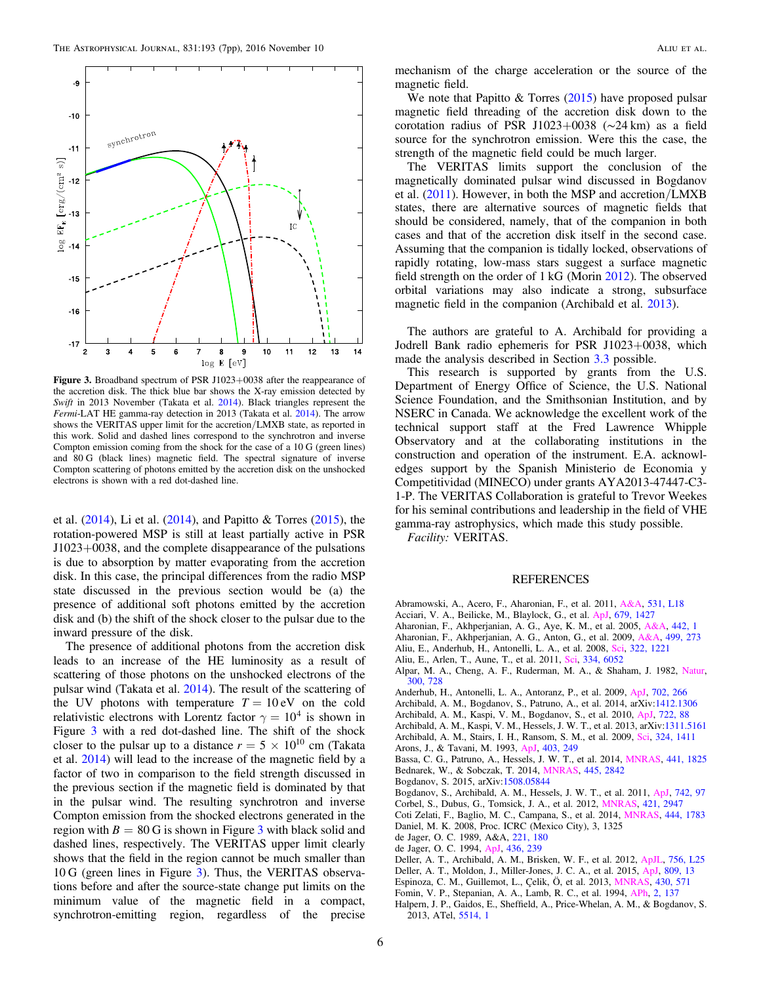<span id="page-6-27"></span>

Figure 3. Broadband spectrum of PSR J1023+0038 after the reappearance of the accretion disk. The thick blue bar shows the X-ray emission detected by Swift in 2013 November (Takata et al. [2014](#page-7-27)). Black triangles represent the Fermi-LAT HE gamma-ray detection in 2013 (Takata et al. [2014](#page-7-27)). The arrow shows the VERITAS upper limit for the accretion/LMXB state, as reported in this work. Solid and dashed lines correspond to the synchrotron and inverse Compton emission coming from the shock for the case of a 10 G (green lines) and 80 G (black lines) magnetic field. The spectral signature of inverse Compton scattering of photons emitted by the accretion disk on the unshocked electrons is shown with a red dot-dashed line.

et al. ([2014](#page-6-26)), Li et al. ([2014](#page-7-34)), and Papitto & Torres ([2015](#page-7-35)), the rotation-powered MSP is still at least partially active in PSR J1023+0038, and the complete disappearance of the pulsations is due to absorption by matter evaporating from the accretion disk. In this case, the principal differences from the radio MSP state discussed in the previous section would be (a) the presence of additional soft photons emitted by the accretion disk and (b) the shift of the shock closer to the pulsar due to the inward pressure of the disk.

The presence of additional photons from the accretion disk leads to an increase of the HE luminosity as a result of scattering of those photons on the unshocked electrons of the pulsar wind (Takata et al. [2014](#page-7-27)). The result of the scattering of the UV photons with temperature  $T = 10 \text{ eV}$  on the cold relativistic electrons with Lorentz factor  $\gamma = 10^4$  is shown in Figure [3](#page-6-27) with a red dot-dashed line. The shift of the shock closer to the pulsar up to a distance  $r = 5 \times 10^{10}$  cm (Takata et al. [2014](#page-7-27)) will lead to the increase of the magnetic field by a factor of two in comparison to the field strength discussed in the previous section if the magnetic field is dominated by that in the pulsar wind. The resulting synchrotron and inverse Compton emission from the shocked electrons generated in the region with  $B = 80$  G is shown in Figure [3](#page-6-27) with black solid and dashed lines, respectively. The VERITAS upper limit clearly shows that the field in the region cannot be much smaller than 10 G (green lines in Figure [3](#page-6-27)). Thus, the VERITAS observations before and after the source-state change put limits on the minimum value of the magnetic field in a compact, synchrotron-emitting region, regardless of the precise

mechanism of the charge acceleration or the source of the magnetic field.

We note that Papitto  $&$  Torres ([2015](#page-7-35)) have proposed pulsar magnetic field threading of the accretion disk down to the corotation radius of PSR J1023+0038 (∼24 km) as a field source for the synchrotron emission. Were this the case, the strength of the magnetic field could be much larger.

The VERITAS limits support the conclusion of the magnetically dominated pulsar wind discussed in Bogdanov et al. ([2011](#page-6-12)). However, in both the MSP and accretion/LMXB states, there are alternative sources of magnetic fields that should be considered, namely, that of the companion in both cases and that of the accretion disk itself in the second case. Assuming that the companion is tidally locked, observations of rapidly rotating, low-mass stars suggest a surface magnetic field strength on the order of 1 kG (Morin [2012](#page-7-36)). The observed orbital variations may also indicate a strong, subsurface magnetic field in the companion (Archibald et al. [2013](#page-6-15)).

The authors are grateful to A. Archibald for providing a Jodrell Bank radio ephemeris for PSR J1023+0038, which made the analysis described in Section [3.3](#page-3-3) possible.

This research is supported by grants from the U.S. Department of Energy Office of Science, the U.S. National Science Foundation, and the Smithsonian Institution, and by NSERC in Canada. We acknowledge the excellent work of the technical support staff at the Fred Lawrence Whipple Observatory and at the collaborating institutions in the construction and operation of the instrument. E.A. acknowledges support by the Spanish Ministerio de Economia y Competitividad (MINECO) under grants AYA2013-47447-C3- 1-P. The VERITAS Collaboration is grateful to Trevor Weekes for his seminal contributions and leadership in the field of VHE gamma-ray astrophysics, which made this study possible.

Facility: VERITAS.

#### REFERENCES

- <span id="page-6-8"></span>Abramowski, A., Acero, F., Aharonian, F., et al. 2011, [A&A,](http://dx.doi.org/10.1051/0004-6361/201117171) [531, L18](http://adsabs.harvard.edu/abs/2011A&A...531L..18A)
- <span id="page-6-19"></span>Acciari, V. A., Beilicke, M., Blaylock, G., et al. [ApJ,](http://dx.doi.org/10.1086/587736) [679, 1427](http://adsabs.harvard.edu/abs/2008ApJ...679.1427A)
- <span id="page-6-6"></span>Aharonian, F., Akhperjanian, A. G., Aye, K. M., et al. 2005, [A&A](http://dx.doi.org/10.1051/0004-6361:20052983), [442, 1](http://adsabs.harvard.edu/abs/2005A&A...442....1A)
- <span id="page-6-10"></span>Aharonian, F., Akhperjanian, A. G., Anton, G., et al. 2009, [A&A](http://dx.doi.org/10.1051/0004-6361/200811564), [499, 273](http://adsabs.harvard.edu/abs/2009A&A...499..273A)
- <span id="page-6-4"></span>Aliu, E., Anderhub, H., Antonelli, L. A., et al. 2008, [Sci](http://dx.doi.org/10.1126/science.1164718), [322, 1221](http://adsabs.harvard.edu/abs/2008Sci...322.1221A)
- <span id="page-6-5"></span>Aliu, E., Arlen, T., Aune, T., et al. 2011, [Sci,](http://dx.doi.org/10.1126/science.1208192) [334, 6052](http://adsabs.harvard.edu/abs/2011Sci...334...69V)
- <span id="page-6-0"></span>Alpar, M. A., Cheng, A. F., Ruderman, M. A., & Shaham, J. 1982, [Natur](http://dx.doi.org/10.1038/300728a0)[,](http://adsabs.harvard.edu/abs/1982Natur.300..728A) [300, 728](http://adsabs.harvard.edu/abs/1982Natur.300..728A)
- <span id="page-6-11"></span>Anderhub, H., Antonelli, L. A., Antoranz, P., et al. 2009, [ApJ,](http://dx.doi.org/10.1088/0004-637X/702/1/266) [702, 266](http://adsabs.harvard.edu/abs/2009ApJ...702..266A)
- <span id="page-6-17"></span>Archibald, A. M., Bogdanov, S., Patruno, A., et al. 2014, arXiv[:1412.1306](http://arxiv.org/abs/1412.1306)
- <span id="page-6-14"></span>Archibald, A. M., Kaspi, V. M., Bogdanov, S., et al. 2010, [ApJ,](http://dx.doi.org/10.1088/0004-637X/722/1/88) [722, 88](http://adsabs.harvard.edu/abs/2010ApJ...722...88A)
- <span id="page-6-15"></span><span id="page-6-1"></span>Archibald, A. M., Kaspi, V. M., Hessels, J. W. T., et al. 2013, arXiv[:1311.5161](http://arxiv.org/abs/1311.5161) Archibald, A. M., Stairs, I. H., Ransom, S. M., et al. 2009, [Sci,](http://dx.doi.org/10.1126/science.1172740) [324, 1411](http://adsabs.harvard.edu/abs/2009Sci...324.1411A)
- <span id="page-6-7"></span>
- Arons, J., & Tavani, M. 1993, [ApJ](http://dx.doi.org/10.1086/172198), [403, 249](http://adsabs.harvard.edu/abs/1993ApJ...403..249A)
- <span id="page-6-9"></span><span id="page-6-2"></span>Bassa, C. G., Patruno, A., Hessels, J. W. T., et al. 2014, [MNRAS,](http://dx.doi.org/10.1093/mnras/stu708) [441, 1825](http://adsabs.harvard.edu/abs/2014MNRAS.441.1825B) Bednarek, W., & Sobczak, T. 2014, [MNRAS,](http://dx.doi.org/10.1093/mnras/stu1966) [445, 2842](http://adsabs.harvard.edu/abs/2014MNRAS.445.2842B)
- <span id="page-6-3"></span>Bogdanov, S. 2015, arXiv:[1508.05844](http://arxiv.org/abs/1508.05844)
- <span id="page-6-12"></span>Bogdanov, S., Archibald, A. M., Hessels, J. W. T., et al. 2011, [ApJ,](http://dx.doi.org/10.1088/0004-637X/742/2/97) [742, 97](http://adsabs.harvard.edu/abs/2011ApJ...742...97B)
- <span id="page-6-25"></span>Corbel, S., Dubus, G., Tomsick, J. A., et al. 2012, [MNRAS,](http://dx.doi.org/10.1111/j.1365-2966.2012.20517.x) [421, 2947](http://adsabs.harvard.edu/abs/2012MNRAS.421.2947C)
- <span id="page-6-26"></span>Coti Zelati, F., Baglio, M. C., Campana, S., et al. 2014, [MNRAS,](http://dx.doi.org/10.1093/mnras/stu1552) [444, 1783](http://adsabs.harvard.edu/abs/2014MNRAS.444.1783C)
- <span id="page-6-20"></span>Daniel, M. K. 2008, Proc. ICRC (Mexico City), 3, 1325
- <span id="page-6-21"></span>de Jager, O. C. 1989, A&A, [221, 180](http://adsabs.harvard.edu/abs/1989A&A...221..180D)
- <span id="page-6-23"></span><span id="page-6-22"></span>de Jager, O. C. 1994, [ApJ](http://dx.doi.org/10.1086/174896), [436, 239](http://adsabs.harvard.edu/abs/1994ApJ...436..239D)
- Deller, A. T., Archibald, A. M., Brisken, W. F., et al. 2012, [ApJL](http://dx.doi.org/10.1088/2041-8205/756/2/L25), [756, L25](http://adsabs.harvard.edu/abs/2012ApJ...756L..25D)
- <span id="page-6-13"></span>Deller, A. T., Moldon, J., Miller-Jones, J. C. A., et al. 2015, [ApJ,](http://dx.doi.org/10.1088/0004-637X/809/1/13) [809, 13](http://adsabs.harvard.edu/abs/2015ApJ...809...13D)
- <span id="page-6-24"></span>Espinoza, C. M., Guillemot, L., Çelik, Ö, et al. 2013, [MNRAS,](http://dx.doi.org/10.1093/mnras/sts657) [430, 571](http://adsabs.harvard.edu/abs/2013MNRAS.430..571E)
- <span id="page-6-18"></span>Fomin, V. P., Stepanian, A. A., Lamb, R. C., et al. 1994, [APh](http://dx.doi.org/10.1016/0927-6505(94)90036-1), [2, 137](http://adsabs.harvard.edu/abs/1994APh.....2..137F)
- <span id="page-6-16"></span>Halpern, J. P., Gaidos, E., Sheffield, A., Price-Whelan, A. M., & Bogdanov, S. 2013, ATel, [5514, 1](http://adsabs.harvard.edu/abs/2013ATel.5514....1H)